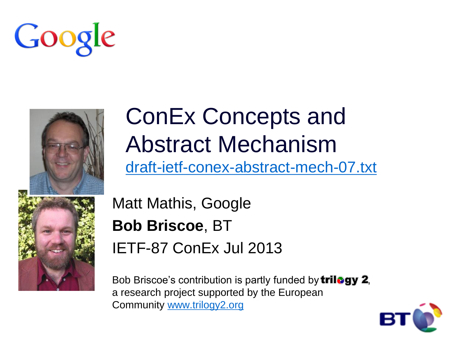



# ConEx Concepts and Abstract Mechanism [draft-ietf-conex-abstract-mech-07.txt](http://www.ietf.org/id/draft-ietf-conex-abstract-mech-07.txt)

Matt Mathis, Google **Bob Briscoe**, BT IETF-87 ConEx Jul 2013

Bob Briscoe's contribution is partly funded by **trilogy 2**, a research project supported by the European Community [www.trilogy2.org](http://www.trilogy2.org/)

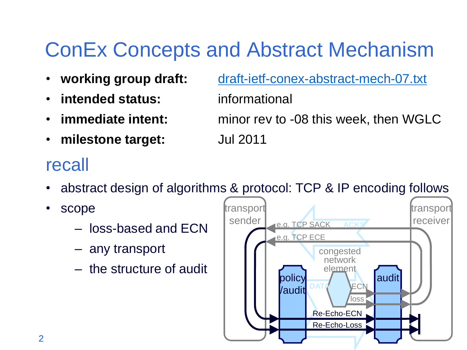# ConEx Concepts and Abstract Mechanism

- 
- **intended status:** informational
- 
- **milestone target:** Jul 2011

#### • **working group draft:** [draft-ietf-conex-abstract-mech-07.txt](http://www.ietf.org/id/draft-ietf-conex-abstract-mech-07.txt)

• **immediate intent:** minor rev to -08 this week, then WGLC

### recall

- abstract design of algorithms & protocol: TCP & IP encoding follows
- scope
	- loss-based and ECN
	- any transport
	- the structure of audit

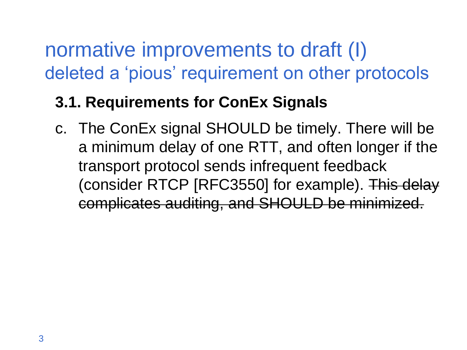## normative improvements to draft (I) deleted a 'pious' requirement on other protocols

### **3.1. Requirements for ConEx Signals**

c. The ConEx signal SHOULD be timely. There will be a minimum delay of one RTT, and often longer if the transport protocol sends infrequent feedback (consider RTCP [RFC3550] for example). This delay complicates auditing, and SHOULD be minimized.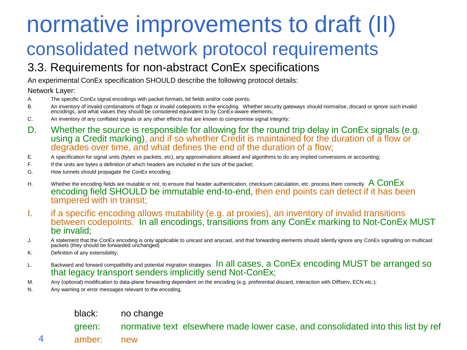## normative improvements to draft (II) consolidated network protocol requirements

#### 3.3. Requirements for non-abstract ConEx specifications

An experimental ConEx specification SHOULD describe the following protocol details:

#### Network Layer:

- A. The specific ConEx signal encodings with packet formats, bit fields and/or code points;
- B. An inventory of invalid combinations of flags or invalid codepoints in the encoding. Whether security gateways should normalise, discard or ignore such invalid<br>encodings, and what values they should be considered equiva
- C. An inventory of any conflated signals or any other effects that are known to compromise signal integrity;
- D. Whether the source is responsible for allowing for the round trip delay in ConEx signals (e.g. using a Credit marking), and if so whether Credit is maintained for the duration of a flow or degrades over time, and what defines the end of the duration of a flow;
- E. A specification for signal units (bytes vs packets, etc), any approximations allowed and algorithms to do any implied conversions or accounting;
- F. If the units are bytes a definition of which headers are included in the size of the packet;
- G. How tunnels should propagate the ConEx encoding;
- H. Whether the encoding fields are mutable or not, to ensure that header authentication, checksum calculation, etc. process them correctly.  $A$   $ConEx$ encoding field SHOULD be immutable end-to-end, then end points can detect if it has been tampered with in transit;
- I. if a specific encoding allows mutability (e.g. at proxies), an inventory of invalid transitions between codepoints. In all encodings, transitions from any ConEx marking to Not-ConEx MUST be invalid;
- J. A statement that the ConEx encoding is only applicable to unicast and anycast, and that forwarding elements should silently ignore any ConEx signalling on multicast packets (they should be forwarded unchanged)
- K. Definition of any extensibility;
- L. Backward and forward compatibility and potential migration strategies. In all cases, a ConEx encoding MUST be arranged so that legacy transport senders implicitly send Not-ConEx;
- M. Any (optional) modification to data-plane forwarding dependent on the encoding (e.g. preferential discard, interaction with Diffserv, ECN etc.);
- N. Any warning or error messages relevant to the encoding.

#### black: no change

green: normative text elsewhere made lower case, and consolidated into this list by ref

4 amber: new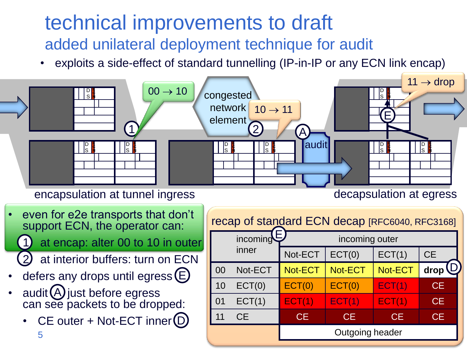### technical improvements to draft added unilateral deployment technique for audit

exploits a side-effect of standard tunnelling (IP-in-IP or any ECN link encap)

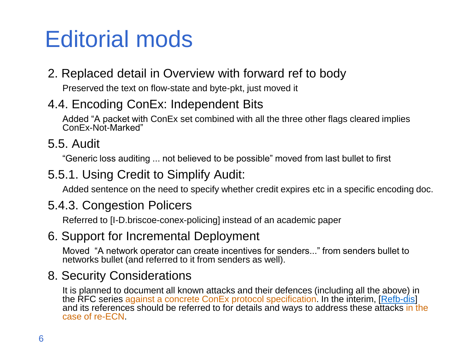# Editorial mods

#### 2. Replaced detail in Overview with forward ref to body

Preserved the text on flow-state and byte-pkt, just moved it

#### 4.4. Encoding ConEx: Independent Bits

Added "A packet with ConEx set combined with all the three other flags cleared implies ConEx-Not-Marked"

#### 5.5. Audit

"Generic loss auditing ... not believed to be possible" moved from last bullet to first

#### 5.5.1. Using Credit to Simplify Audit:

Added sentence on the need to specify whether credit expires etc in a specific encoding doc.

#### 5.4.3. Congestion Policers

Referred to [I-D.briscoe-conex-policing] instead of an academic paper

#### 6. Support for Incremental Deployment

Moved "A network operator can create incentives for senders..." from senders bullet to networks bullet (and referred to it from senders as well).

#### 8. Security Considerations

It is planned to document all known attacks and their defences (including all the above) in the RFC series against a concrete ConEx protocol specification. In the interim, [[Refb-dis\]](http://tools.ietf.org/html/draft-ietf-conex-abstract-mech-07) and its references should be referred to for details and ways to address these attacks in the case of re-ECN.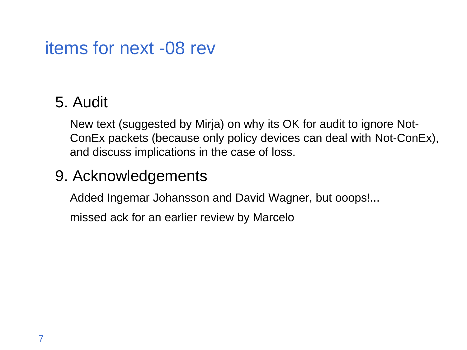### items for next -08 rev

### 5. Audit

New text (suggested by Mirja) on why its OK for audit to ignore Not-ConEx packets (because only policy devices can deal with Not-ConEx), and discuss implications in the case of loss.

#### 9. Acknowledgements

Added Ingemar Johansson and David Wagner, but ooops!...

missed ack for an earlier review by Marcelo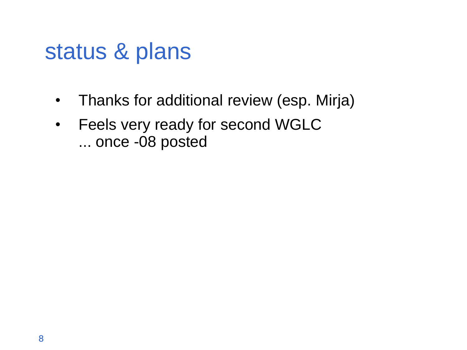# status & plans

- Thanks for additional review (esp. Mirja)
- Feels very ready for second WGLC ... once -08 posted